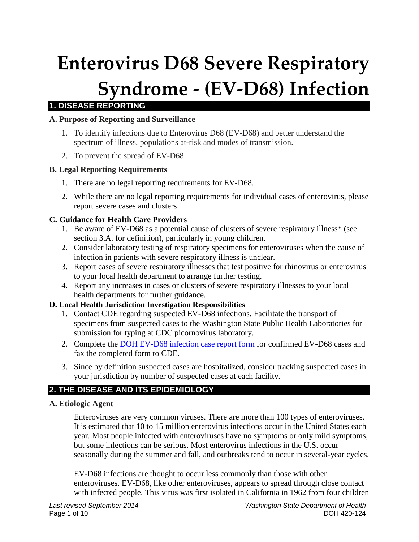# **Enterovirus D68 Severe Respiratory Syndrome - (EV-D68) Infection**

# **1. DISEASE REPORTING**

#### **A. Purpose of Reporting and Surveillance**

- 1. To identify infections due to Enterovirus D68 (EV-D68) and better understand the spectrum of illness, populations at-risk and modes of transmission.
- 2. To prevent the spread of EV-D68.

## **B. Legal Reporting Requirements**

- 1. There are no legal reporting requirements for EV-D68.
- 2. While there are no legal reporting requirements for individual cases of enterovirus, please report severe cases and clusters.

## **C. Guidance for Health Care Providers**

- 1. Be aware of EV-D68 as a potential cause of clusters of severe respiratory illness\* (see section 3.A. for definition), particularly in young children.
- 2. Consider laboratory testing of respiratory specimens for enteroviruses when the cause of infection in patients with severe respiratory illness is unclear.
- 3. Report cases of severe respiratory illnesses that test positive for rhinovirus or enterovirus to your local health department to arrange further testing.
- 4. Report any increases in cases or clusters of severe respiratory illnesses to your local health departments for further guidance.

#### **D. Local Health Jurisdiction Investigation Responsibilities**

- 1. Contact CDE regarding suspected EV-D68 infections. Facilitate the transport of specimens from suspected cases to the Washington State Public Health Laboratories for submission for typing at CDC picornovirus laboratory.
- 2. Complete the [DOH EV-D68 infection case report form](http://www.doh.wa.gov/Portals/1/Documents/5100/420-125-ReportForm-EV-D68.pdf) for confirmed EV-D68 cases and fax the completed form to CDE.
- 3. Since by definition suspected cases are hospitalized, consider tracking suspected cases in your jurisdiction by number of suspected cases at each facility.

# **2. THE DISEASE AND ITS EPIDEMIOLOGY**

#### **A. Etiologic Agent**

Enteroviruses are very common viruses. There are more than 100 types of enteroviruses. It is estimated that 10 to 15 million enterovirus infections occur in the United States each year. Most people infected with enteroviruses have no symptoms or only mild symptoms, but some infections can be serious. Most enterovirus infections in the U.S. occur seasonally during the summer and fall, and outbreaks tend to occur in several-year cycles.

EV-D68 infections are thought to occur less commonly than those with other enteroviruses. EV-D68, like other enteroviruses, appears to spread through close contact with infected people. This virus was first isolated in California in 1962 from four children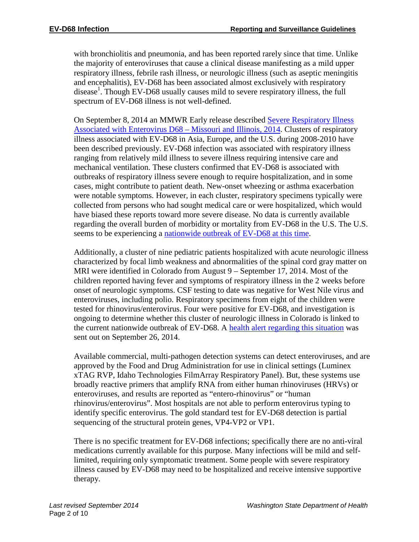with bronchiolitis and pneumonia, and has been reported rarely since that time. Unlike the majority of enteroviruses that cause a clinical disease manifesting as a mild upper respiratory illness, febrile rash illness, or neurologic illness (such as aseptic meningitis and encephalitis), EV-D68 has been associated almost exclusively with respiratory disease<sup>1</sup>. Though EV-D68 usually causes mild to severe respiratory illness, the full spectrum of EV-D68 illness is not well-defined.

On September 8, 2014 an MMWR Early release described [Severe Respiratory Illness](http://www.cdc.gov/mmwr/preview/mmwrhtml/mm6336a4.htm?s_cid=mm6336a4_w)  [Associated with Enterovirus D68 –](http://www.cdc.gov/mmwr/preview/mmwrhtml/mm6336a4.htm?s_cid=mm6336a4_w) Missouri and Illinois, 2014. Clusters of respiratory illness associated with EV-D68 in Asia, Europe, and the U.S. during 2008-2010 have been described previously. EV-D68 infection was associated with respiratory illness ranging from relatively mild illness to severe illness requiring intensive care and mechanical ventilation. These clusters confirmed that EV-D68 is associated with outbreaks of respiratory illness severe enough to require hospitalization, and in some cases, might contribute to patient death. New-onset wheezing or asthma exacerbation were notable symptoms. However, in each cluster, respiratory specimens typically were collected from persons who had sought medical care or were hospitalized, which would have biased these reports toward more severe disease. No data is currently available regarding the overall burden of morbidity or mortality from EV-D68 in the U.S. The U.S. seems to be experiencing a [nationwide outbreak of EV-D68 at this time.](http://www.cdc.gov/non-polio-enterovirus/outbreaks/EV-D68-outbreaks.html)

Additionally, a cluster of nine pediatric patients hospitalized with acute neurologic illness characterized by focal limb weakness and abnormalities of the spinal cord gray matter on MRI were identified in Colorado from August 9 – September 17, 2014. Most of the children reported having fever and symptoms of respiratory illness in the 2 weeks before onset of neurologic symptoms. CSF testing to date was negative for West Nile virus and enteroviruses, including polio. Respiratory specimens from eight of the children were tested for rhinovirus/enterovirus. Four were positive for EV-D68, and investigation is ongoing to determine whether this cluster of neurologic illness in Colorado is linked to the current nationwide outbreak of EV-D68. A [health alert regarding this situation](http://emergency.cdc.gov/han/han00370.asp) was sent out on September 26, 2014.

Available commercial, multi-pathogen detection systems can detect enteroviruses, and are approved by the Food and Drug Administration for use in clinical settings (Luminex xTAG RVP, Idaho Technologies FilmArray Respiratory Panel). But, these systems use broadly reactive primers that amplify RNA from either human rhinoviruses (HRVs) or enteroviruses, and results are reported as "entero-rhinovirus" or "human rhinovirus/enterovirus". Most hospitals are not able to perform enterovirus typing to identify specific enterovirus. The gold standard test for EV-D68 detection is partial sequencing of the structural protein genes, VP4-VP2 or VP1.

There is no specific treatment for EV-D68 infections; specifically there are no anti-viral medications currently available for this purpose. Many infections will be mild and selflimited, requiring only symptomatic treatment. Some people with severe respiratory illness caused by EV-D68 may need to be hospitalized and receive intensive supportive therapy.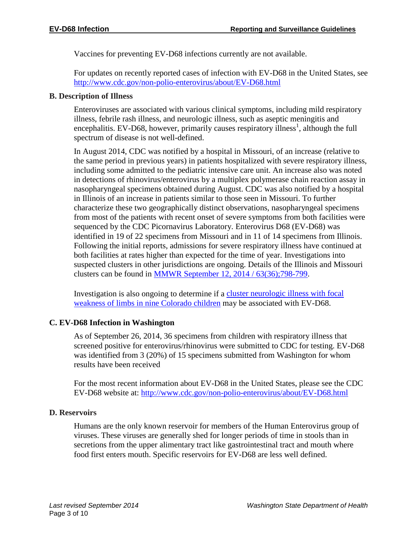Vaccines for preventing EV-D68 infections currently are not available.

For updates on recently reported cases of infection with EV-D68 in the United States, see <http://www.cdc.gov/non-polio-enterovirus/about/EV-D68.html>

#### **B. Description of Illness**

Enteroviruses are associated with various clinical symptoms, including mild respiratory illness, febrile rash illness, and neurologic illness, such as aseptic meningitis and encephalitis. EV-D68, however, primarily causes respiratory illness<sup>1</sup>, although the full spectrum of disease is not well-defined.

In August 2014, CDC was notified by a hospital in Missouri, of an increase (relative to the same period in previous years) in patients hospitalized with severe respiratory illness, including some admitted to the pediatric intensive care unit. An increase also was noted in detections of rhinovirus/enterovirus by a multiplex polymerase chain reaction assay in nasopharyngeal specimens obtained during August. CDC was also notified by a hospital in Illinois of an increase in patients similar to those seen in Missouri. To further characterize these two geographically distinct observations, nasopharyngeal specimens from most of the patients with recent onset of severe symptoms from both facilities were sequenced by the CDC Picornavirus Laboratory. Enterovirus D68 (EV-D68) was identified in 19 of 22 specimens from Missouri and in 11 of 14 specimens from Illinois. Following the initial reports, admissions for severe respiratory illness have continued at both facilities at rates higher than expected for the time of year. Investigations into suspected clusters in other jurisdictions are ongoing. Details of the Illinois and Missouri clusters can be found in [MMWR September 12, 2014 / 63\(36\);798-799.](http://www.cdc.gov/mmwr/preview/mmwrhtml/mm6336a4.htm?s_cid=mm6336a4_w)

Investigation is also ongoing to determine if a [cluster neurologic illness with focal](http://emergency.cdc.gov/han/han00370.asp)  [weakness of limbs in nine Colorado children](http://emergency.cdc.gov/han/han00370.asp) may be associated with EV-D68.

#### **C. EV-D68 Infection in Washington**

As of September 26, 2014, 36 specimens from children with respiratory illness that screened positive for enterovirus/rhinovirus were submitted to CDC for testing. EV-D68 was identified from 3 (20%) of 15 specimens submitted from Washington for whom results have been received

For the most recent information about EV-D68 in the United States, please see the CDC EV-D68 website at:<http://www.cdc.gov/non-polio-enterovirus/about/EV-D68.html>

#### **D. Reservoirs**

Humans are the only known reservoir for members of the Human Enterovirus group of viruses. These viruses are generally shed for longer periods of time in stools than in secretions from the upper alimentary tract like gastrointestinal tract and mouth where food first enters mouth. Specific reservoirs for EV-D68 are less well defined.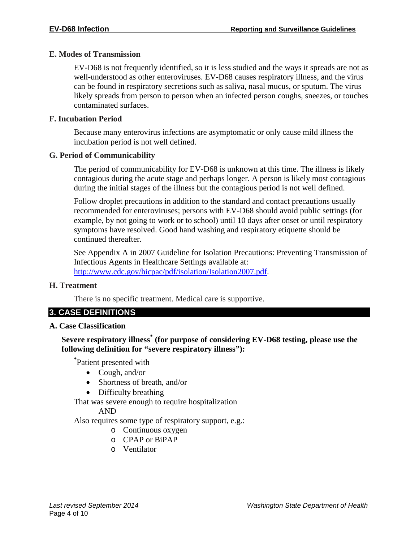#### **E. Modes of Transmission**

EV-D68 is not frequently identified, so it is less studied and the ways it spreads are not as well-understood as other enteroviruses. EV-D68 causes respiratory illness, and the virus can be found in respiratory secretions such as saliva, nasal mucus, or sputum. The virus likely spreads from person to person when an infected person coughs, sneezes, or touches contaminated surfaces.

#### **F. Incubation Period**

Because many enterovirus infections are asymptomatic or only cause mild illness the incubation period is not well defined.

#### **G. Period of Communicability**

The period of communicability for EV-D68 is unknown at this time. The illness is likely contagious during the acute stage and perhaps longer. A person is likely most contagious during the initial stages of the illness but the contagious period is not well defined.

Follow droplet precautions in addition to the standard and contact precautions usually recommended for enteroviruses; persons with EV-D68 should avoid public settings (for example, by not going to work or to school) until 10 days after onset or until respiratory symptoms have resolved. Good hand washing and respiratory etiquette should be continued thereafter.

See Appendix A in 2007 Guideline for Isolation Precautions: Preventing Transmission of Infectious Agents in Healthcare Settings available at: [http://www.cdc.gov/hicpac/pdf/isolation/Isolation2007.pdf.](http://www.cdc.gov/hicpac/pdf/isolation/Isolation2007.pdf)

#### **H. Treatment**

There is no specific treatment. Medical care is supportive.

# **3. CASE DEFINITIONS**

#### **A. Case Classification**

## **Severe respiratory illness\* (for purpose of considering EV-D68 testing, please use the following definition for "severe respiratory illness"):**

**\*** Patient presented with

- Cough, and/or
- Shortness of breath, and/or
- Difficulty breathing

That was severe enough to require hospitalization

#### AND

Also requires some type of respiratory support, e.g.:

- o Continuous oxygen
- o CPAP or BiPAP
- o Ventilator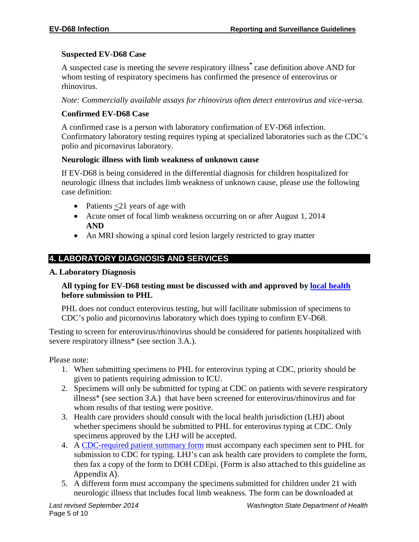#### **Suspected EV-D68 Case**

A suspected case is meeting the severe respiratory illness**\*** case definition above AND for whom testing of respiratory specimens has confirmed the presence of enterovirus or rhinovirus.

*Note: Commercially available assays for rhinovirus often detect enterovirus and vice-versa.*

#### **Confirmed EV-D68 Case**

A confirmed case is a person with laboratory confirmation of EV-D68 infection. Confirmatory laboratory testing requires typing at specialized laboratories such as the CDC's polio and picornavirus laboratory.

#### **Neurologic illness with limb weakness of unknown cause**

If EV-D68 is being considered in the differential diagnosis for children hospitalized for neurologic illness that includes limb weakness of unknown cause, please use the following case definition:

- Patients  $\leq$ 21 years of age with
- Acute onset of focal limb weakness occurring on or after August 1, 2014 **AND**
- An MRI showing a spinal cord lesion largely restricted to gray matter

# **4. LABORATORY DIAGNOSIS AND SERVICES**

#### **A. Laboratory Diagnosis**

#### **All typing for EV-D68 testing must be discussed with and approved by [local health](http://www.doh.wa.gov/AboutUs/PublicHealthSystem/LocalHealthJurisdictions.aspx) before submission to PHL**

PHL does not conduct enterovirus testing, but will facilitate submission of specimens to CDC's polio and picornovirus laboratory which does typing to confirm EV-D68.

Testing to screen for enterovirus/rhinovirus should be considered for patients hospitalized with severe respiratory illness\* (see section 3.A.).

Please note:

- 1. When submitting specimens to PHL for enterovirus typing at CDC, priority should be given to patients requiring admission to ICU.
- 2. Specimens will only be submitted for typing at CDC on patients with severe respiratory illness\* (see section 3.A.) that have been screened for enterovirus/rhinovirus and for whom results of that testing were positive.
- 3. Health care providers should consult with the local health jurisdiction (LHJ) about whether specimens should be submitted to PHL for enterovirus typing at CDC. Only specimens approved by the LHJ will be accepted.
- 4. A [CDC-required patient summary form](http://www.cdc.gov/non-polio-enterovirus/downloads/EV68-PatientSummaryForm.pdf) must accompany each specimen sent to PHL for submission to CDC for typing. LHJ's can ask health care providers to complete the form, then fax a copy of the form to DOH CDEpi. (Form is also attached to this guideline as Appendix A).
- 5. A different form must accompany the specimens submitted for children under 21 with neurologic illness that includes focal limb weakness. The form can be downloaded at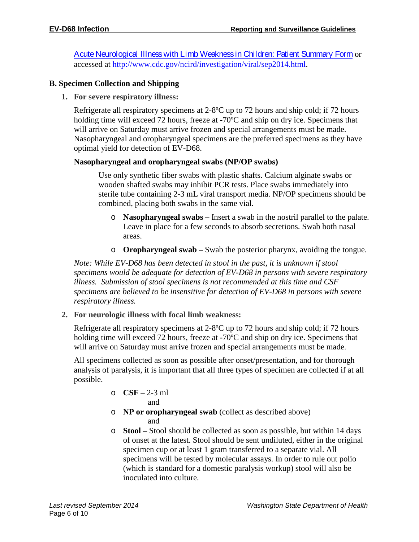[Acute Neurological Illness with Limb Weakness in Children: Patient Summary Form](http://www.cdc.gov/ncird/downloads/Patient-Summary-Form.docx) or accessed at [http://www.cdc.gov/ncird/investigation/viral/sep2014.html.](http://www.cdc.gov/ncird/investigation/viral/sep2014.html)

#### **B. Specimen Collection and Shipping**

**1. For severe respiratory illness:**

Refrigerate all respiratory specimens at 2-8ºC up to 72 hours and ship cold; if 72 hours holding time will exceed 72 hours, freeze at -70<sup>o</sup>C and ship on dry ice. Specimens that will arrive on Saturday must arrive frozen and special arrangements must be made. Nasopharyngeal and oropharyngeal specimens are the preferred specimens as they have optimal yield for detection of EV-D68.

#### **Nasopharyngeal and oropharyngeal swabs (NP/OP swabs)**

Use only synthetic fiber swabs with plastic shafts. Calcium alginate swabs or wooden shafted swabs may inhibit PCR tests. Place swabs immediately into sterile tube containing 2-3 mL viral transport media. NP/OP specimens should be combined, placing both swabs in the same vial.

- o **Nasopharyngeal swabs –** Insert a swab in the nostril parallel to the palate. Leave in place for a few seconds to absorb secretions. Swab both nasal areas.
- o **Oropharyngeal swab –** Swab the posterior pharynx, avoiding the tongue.

*Note: While EV-D68 has been detected in stool in the past, it is unknown if stool specimens would be adequate for detection of EV-D68 in persons with severe respiratory illness. Submission of stool specimens is not recommended at this time and CSF specimens are believed to be insensitive for detection of EV-D68 in persons with severe respiratory illness.*

**2. For neurologic illness with focal limb weakness:**

Refrigerate all respiratory specimens at 2-8ºC up to 72 hours and ship cold; if 72 hours holding time will exceed 72 hours, freeze at -70<sup>o</sup>C and ship on dry ice. Specimens that will arrive on Saturday must arrive frozen and special arrangements must be made.

All specimens collected as soon as possible after onset/presentation, and for thorough analysis of paralysis, it is important that all three types of specimen are collected if at all possible.

$$
\begin{array}{rl} \circ & \textbf{CSF} - 2-3 \text{ ml} \\ \text{and} \end{array}
$$

- o **NP or oropharyngeal swab** (collect as described above) and
- o **Stool –** Stool should be collected as soon as possible, but within 14 days of onset at the latest. Stool should be sent undiluted, either in the original specimen cup or at least 1 gram transferred to a separate vial. All specimens will be tested by molecular assays. In order to rule out polio (which is standard for a domestic paralysis workup) stool will also be inoculated into culture.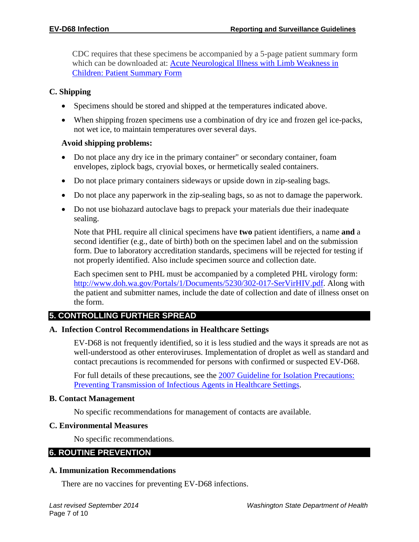CDC requires that these specimens be accompanied by a 5-page patient summary form which can be downloaded at: **Acute Neurological Illness with Limb Weakness in** [Children: Patient Summary Form](http://www.cdc.gov/ncird/downloads/Patient-Summary-Form.docx)

#### **C. Shipping**

- Specimens should be stored and shipped at the temperatures indicated above.
- When shipping frozen specimens use a combination of dry ice and frozen gel ice-packs, not wet ice, to maintain temperatures over several days.

## **Avoid shipping problems:**

- Do not place any dry ice in the primary container" or secondary container, foam envelopes, ziplock bags, cryovial boxes, or hermetically sealed containers.
- Do not place primary containers sideways or upside down in zip-sealing bags.
- Do not place any paperwork in the zip-sealing bags, so as not to damage the paperwork.
- Do not use biohazard autoclave bags to prepack your materials due their inadequate sealing.

Note that PHL require all clinical specimens have **two** patient identifiers, a name **and** a second identifier (e.g., date of birth) both on the specimen label and on the submission form. Due to laboratory accreditation standards, specimens will be rejected for testing if not properly identified. Also include specimen source and collection date.

Each specimen sent to PHL must be accompanied by a completed PHL virology form: [http://www.doh.wa.gov/Portals/1/Documents/5230/302-017-SerVirHIV.pdf.](http://www.doh.wa.gov/Portals/1/Documents/5230/302-017-SerVirHIV.pdf) Along with the patient and submitter names, include the date of collection and date of illness onset on the form.

# **5. CONTROLLING FURTHER SPREAD**

#### **A. Infection Control Recommendations in Healthcare Settings**

EV-D68 is not frequently identified, so it is less studied and the ways it spreads are not as well-understood as other enteroviruses. Implementation of droplet as well as standard and contact precautions is recommended for persons with confirmed or suspected EV-D68.

For full details of these precautions, see the [2007 Guideline for Isolation Precautions:](http://www.cdc.gov/hicpac/pdf/isolation/Isolation2007.pdf)  [Preventing Transmission of Infectious Agents in Healthcare Settings.](http://www.cdc.gov/hicpac/pdf/isolation/Isolation2007.pdf)

#### **B. Contact Management**

No specific recommendations for management of contacts are available.

#### **C. Environmental Measures**

No specific recommendations.

#### **6. ROUTINE PREVENTION**

#### **A. Immunization Recommendations**

There are no vaccines for preventing EV-D68 infections.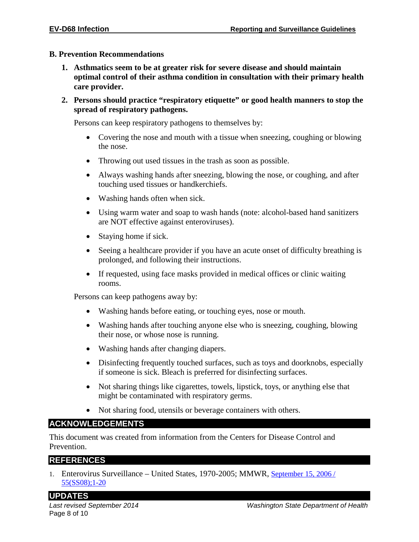#### **B. Prevention Recommendations**

- **1. Asthmatics seem to be at greater risk for severe disease and should maintain optimal control of their asthma condition in consultation with their primary health care provider.**
- **2. Persons should practice "respiratory etiquette" or good health manners to stop the spread of respiratory pathogens.**

Persons can keep respiratory pathogens to themselves by:

- Covering the nose and mouth with a tissue when sneezing, coughing or blowing the nose.
- Throwing out used tissues in the trash as soon as possible.
- Always washing hands after sneezing, blowing the nose, or coughing, and after touching used tissues or handkerchiefs.
- Washing hands often when sick.
- Using warm water and soap to wash hands (note: alcohol-based hand sanitizers are NOT effective against enteroviruses).
- Staying home if sick.
- Seeing a healthcare provider if you have an acute onset of difficulty breathing is prolonged, and following their instructions.
- If requested, using face masks provided in medical offices or clinic waiting rooms.

Persons can keep pathogens away by:

- Washing hands before eating, or touching eyes, nose or mouth.
- Washing hands after touching anyone else who is sneezing, coughing, blowing their nose, or whose nose is running.
- Washing hands after changing diapers.
- Disinfecting frequently touched surfaces, such as toys and doorknobs, especially if someone is sick. Bleach is preferred for disinfecting surfaces.
- Not sharing things like cigarettes, towels, lipstick, toys, or anything else that might be contaminated with respiratory germs.
- Not sharing food, utensils or beverage containers with others.

#### **ACKNOWLEDGEMENTS**

This document was created from information from the Centers for Disease Control and Prevention.

#### **REFERENCES**

1. Enterovirus Surveillance – United States, 1970-2005; MMWR, [September 15, 2006 /](http://www.cdc.gov/mmwr/preview/mmwrhtml/ss5508a1.htm)  [55\(SS08\);1-20](http://www.cdc.gov/mmwr/preview/mmwrhtml/ss5508a1.htm)

#### **UPDATES**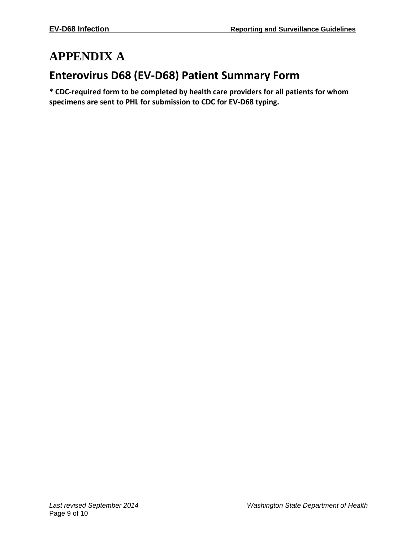# **APPENDIX A**

# **Enterovirus D68 (EV-D68) Patient Summary Form**

**\* CDC-required form to be completed by health care providers for all patients for whom specimens are sent to PHL for submission to CDC for EV-D68 typing.**